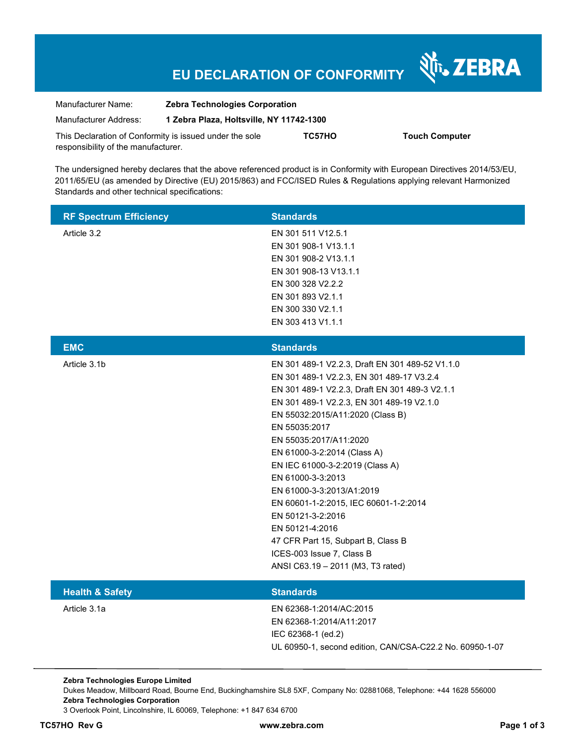## **EU DECLARATION OF CONFORMITY**

Nr. ZEBRA

| Manufacturer Name:                                      | <b>Zebra Technologies Corporation</b>    |        |                       |  |
|---------------------------------------------------------|------------------------------------------|--------|-----------------------|--|
| Manufacturer Address:                                   | 1 Zebra Plaza, Holtsville, NY 11742-1300 |        |                       |  |
| This Declaration of Conformity is issued under the sole |                                          | TC57HO | <b>Touch Computer</b> |  |
| responsibility of the manufacturer.                     |                                          |        |                       |  |

The undersigned hereby declares that the above referenced product is in Conformity with European Directives 2014/53/EU, 2011/65/EU (as amended by Directive (EU) 2015/863) and FCC/ISED Rules & Regulations applying relevant Harmonized Standards and other technical specifications:

| <b>RF Spectrum Efficiency</b> | <b>Standards</b>                                                                                                                                                                                                                                                                                                                                                                                                                                                                                                                                                                        |
|-------------------------------|-----------------------------------------------------------------------------------------------------------------------------------------------------------------------------------------------------------------------------------------------------------------------------------------------------------------------------------------------------------------------------------------------------------------------------------------------------------------------------------------------------------------------------------------------------------------------------------------|
| Article 3.2                   | EN 301 511 V12.5.1<br>EN 301 908-1 V13.1.1<br>EN 301 908-2 V13.1.1<br>EN 301 908-13 V13.1.1<br>EN 300 328 V2.2.2<br>EN 301 893 V2.1.1<br>EN 300 330 V2.1.1<br>EN 303 413 V1.1.1                                                                                                                                                                                                                                                                                                                                                                                                         |
| <b>EMC</b>                    | <b>Standards</b>                                                                                                                                                                                                                                                                                                                                                                                                                                                                                                                                                                        |
| Article 3.1b                  | EN 301 489-1 V2.2.3, Draft EN 301 489-52 V1.1.0<br>EN 301 489-1 V2.2.3, EN 301 489-17 V3.2.4<br>EN 301 489-1 V2.2.3, Draft EN 301 489-3 V2.1.1<br>EN 301 489-1 V2.2.3, EN 301 489-19 V2.1.0<br>EN 55032:2015/A11:2020 (Class B)<br>EN 55035:2017<br>EN 55035:2017/A11:2020<br>EN 61000-3-2:2014 (Class A)<br>EN IEC 61000-3-2:2019 (Class A)<br>EN 61000-3-3:2013<br>EN 61000-3-3:2013/A1:2019<br>EN 60601-1-2:2015, IEC 60601-1-2:2014<br>EN 50121-3-2:2016<br>EN 50121-4:2016<br>47 CFR Part 15, Subpart B, Class B<br>ICES-003 Issue 7, Class B<br>ANSI C63.19 - 2011 (M3, T3 rated) |
| <b>Health &amp; Safety</b>    | <b>Standards</b>                                                                                                                                                                                                                                                                                                                                                                                                                                                                                                                                                                        |
| Article 3.1a                  | EN 62368-1:2014/AC:2015<br>EN 62368-1:2014/A11:2017<br>IEC 62368-1 (ed.2)<br>UL 60950-1, second edition, CAN/CSA-C22.2 No. 60950-1-07                                                                                                                                                                                                                                                                                                                                                                                                                                                   |

**Zebra Technologies Europe Limited**  Dukes Meadow, Millboard Road, Bourne End, Buckinghamshire SL8 5XF, Company No: 02881068, Telephone: +44 1628 556000 **Zebra Technologies Corporation**  3 Overlook Point, Lincolnshire, IL 60069, Telephone: +1 847 634 6700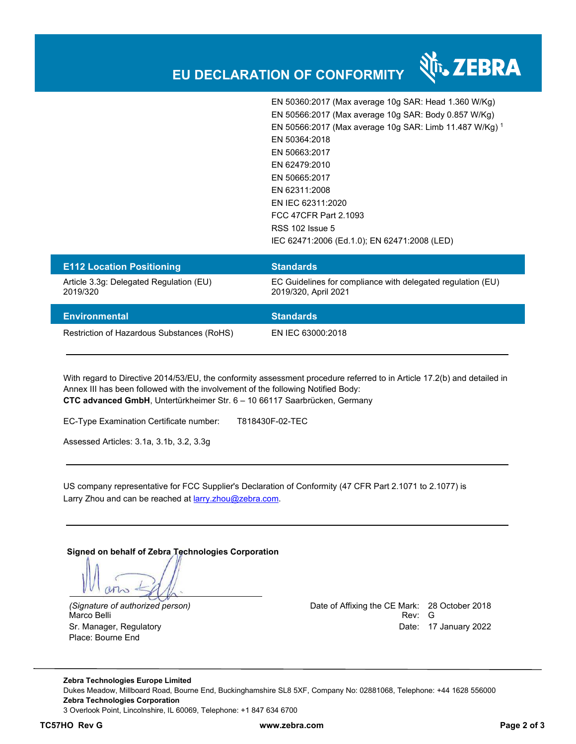

EN 50360:2017 (Max average 10g SAR: Head 1.360 W/Kg) EN 50566:2017 (Max average 10g SAR: Body 0.857 W/Kg) EN 50566:2017 (Max average 10g SAR: Limb 11.487 W/Kg) <sup>1</sup> EN 50364:2018 EN 50663:2017 EN 62479:2010 EN 50665:2017 EN 62311:2008 EN IEC 62311:2020 FCC 47CFR Part 2.1093 RSS 102 Issue 5 IEC 62471:2006 (Ed.1.0); EN 62471:2008 (LED)

| <b>E112 Location Positioning</b>                    | <b>Standards</b>                                                                    |
|-----------------------------------------------------|-------------------------------------------------------------------------------------|
| Article 3.3g: Delegated Regulation (EU)<br>2019/320 | EC Guidelines for compliance with delegated regulation (EU)<br>2019/320, April 2021 |
| <b>Environmental</b>                                | <b>Standards</b>                                                                    |
| Restriction of Hazardous Substances (RoHS)          | EN IEC 63000:2018                                                                   |

With regard to Directive 2014/53/EU, the conformity assessment procedure referred to in Article 17.2(b) and detailed in Annex III has been followed with the involvement of the following Notified Body: **CTC advanced GmbH**, Untertürkheimer Str. 6 – 10 66117 Saarbrücken, Germany

EC-Type Examination Certificate number: T818430F-02-TEC

Assessed Articles: 3.1a, 3.1b, 3.2, 3.3g

US company representative for FCC Supplier's Declaration of Conformity (47 CFR Part 2.1071 to 2.1077) is Larry Zhou and can be reached at larry.zhou@zebra.com.

**Signed on behalf of Zebra Technologies Corporation** 

Place: Bourne End

*(Signature of authorized person)* Date of Affixing the CE Mark: 28 October 2018 Marco Belli Rev: G Sr. Manager, Regulatory Date: 17 January 2022

**Zebra Technologies Europe Limited**  Dukes Meadow, Millboard Road, Bourne End, Buckinghamshire SL8 5XF, Company No: 02881068, Telephone: +44 1628 556000 **Zebra Technologies Corporation**  3 Overlook Point, Lincolnshire, IL 60069, Telephone: +1 847 634 6700